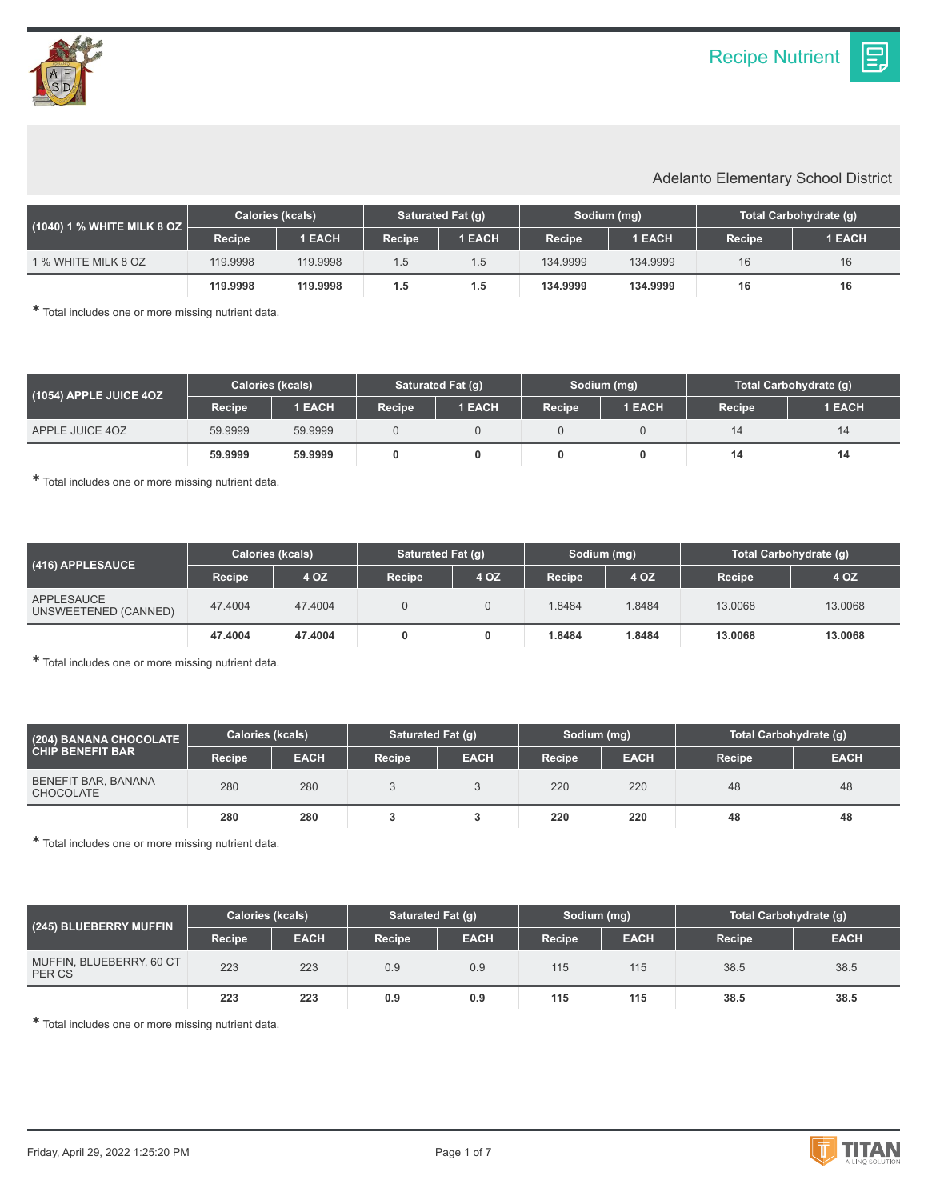IΞ.

## Adelanto Elementary School District

| $(1040)$ 1 % WHITE MILK 8 OZ $\overline{\phantom{a}}$ | <b>Calories (kcals)</b> |               | Saturated Fat (g) |               | Sodium (mg) |               | Total Carbohydrate (q) |               |
|-------------------------------------------------------|-------------------------|---------------|-------------------|---------------|-------------|---------------|------------------------|---------------|
|                                                       | Recipe                  | <b>1 EACH</b> | <b>Recipe</b>     | <b>1 EACH</b> | Recipe      | <b>1 EACH</b> | <b>Recipe</b>          | <b>1 EACH</b> |
| 1 % WHITE MILK 8 OZ                                   | 119.9998                | 119.9998      | 1.5               | 1.5           | 134.9999    | 134.9999      | 16                     | 16            |
|                                                       | 119,9998                | 119,9998      | 1.5               | 1.5           | 134.9999    | 134.9999      | 16                     | 16            |

✱ Total includes one or more missing nutrient data.

| (1054) APPLE JUICE 4OZ ˈ | <b>Calories (kcals)</b> |               | Saturated Fat (g) |        | Sodium (mg) |        | Total Carbohydrate (q) |        |
|--------------------------|-------------------------|---------------|-------------------|--------|-------------|--------|------------------------|--------|
|                          | Recipe                  | <b>1 EACH</b> | <b>Recipe</b>     | 1 EACH | Recipe      | 1 EACH | <b>Recipe</b>          | 1 EACH |
| APPLE JUICE 40Z          | 59.9999                 | 59.9999       |                   |        |             |        |                        | 14     |
|                          | 59.9999                 | 59,9999       |                   |        |             |        | 14                     | 14     |

✱ Total includes one or more missing nutrient data.

| $(416)$ APPLESAUCE $^{\dagger}$    | <b>Calories (kcals)</b> |         | Saturated Fat (q) |      | Sodium (mg) |        | Total Carbohydrate (q) |         |
|------------------------------------|-------------------------|---------|-------------------|------|-------------|--------|------------------------|---------|
|                                    | Recipe                  | 4 OZ    | <b>Recipe</b>     | 4 OZ | Recipe      | 4 OZ   | <b>Recipe</b>          | 4 OZ    |
| APPLESAUCE<br>UNSWEETENED (CANNED) | 47.4004                 | 47.4004 |                   |      | 1.8484      | 1.8484 | 13.0068                | 13,0068 |
|                                    | 47.4004                 | 47.4004 |                   |      | 1.8484      | 1.8484 | 13,0068                | 13,0068 |

✱ Total includes one or more missing nutrient data.

| (204) BANANA CHOCOLATE<br><b>CHIP BENEFIT BAR</b> | Calories (kcals) |             | Saturated Fat (q) |             | Sodium (mg)   |             | Total Carbohydrate (q) |             |
|---------------------------------------------------|------------------|-------------|-------------------|-------------|---------------|-------------|------------------------|-------------|
|                                                   | Recipe           | <b>EACH</b> | Recipe            | <b>EACH</b> | <b>Recipe</b> | <b>EACH</b> | <b>Recipe</b>          | <b>EACH</b> |
| BENEFIT BAR, BANANA<br><b>CHOCOLATE</b>           | 280              | 280         |                   |             | 220           | 220         | 48                     | 48          |
|                                                   | 280              | 280         |                   |             | 220           | 220         | 48                     | 48          |

✱ Total includes one or more missing nutrient data.

| (245) BLUEBERRY MUFFIN             | Calories (kcals) |             | Saturated Fat (q) |             | Sodium (mg) |             | Total Carbohydrate (g) |             |
|------------------------------------|------------------|-------------|-------------------|-------------|-------------|-------------|------------------------|-------------|
|                                    | Recipe           | <b>EACH</b> | Recipe            | <b>EACH</b> | Recipe      | <b>EACH</b> | Recipe                 | <b>EACH</b> |
| MUFFIN, BLUEBERRY, 60 CT<br>PER CS | 223              | 223         | 0.9               | 0.9         | 115         | 115         | 38.5                   | 38.5        |
|                                    | 223              | 223         | 0.9               | 0.9         | 115         | 115         | 38.5                   | 38.5        |

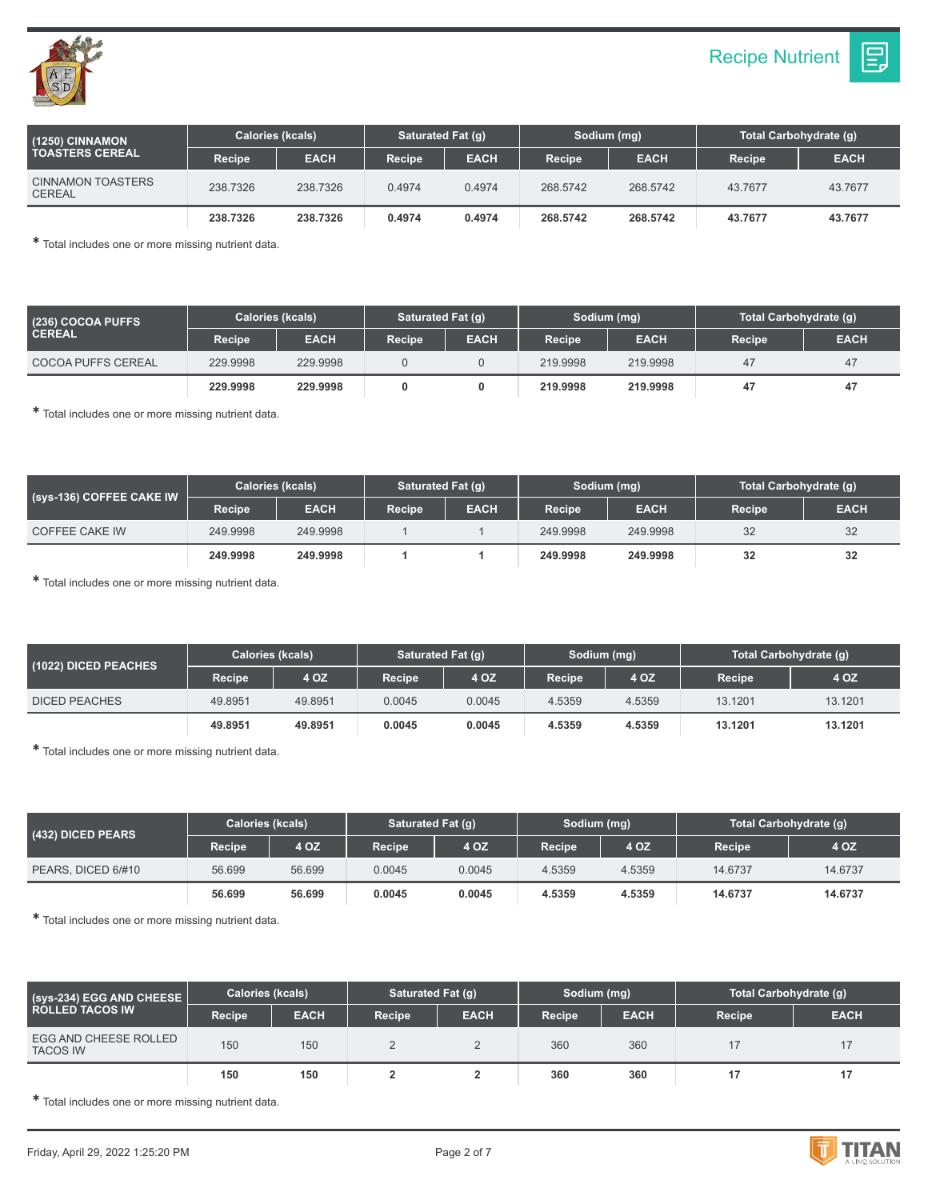



| (1250) CINNAMON<br><b>TOASTERS CEREAL</b> | <b>Calories (kcals)</b> |             | Saturated Fat (q) |             | Sodium (mg)   |             | Total Carbohydrate (g) |             |
|-------------------------------------------|-------------------------|-------------|-------------------|-------------|---------------|-------------|------------------------|-------------|
|                                           | <b>Recipe</b>           | <b>EACH</b> | Recipe            | <b>EACH</b> | <b>Recipe</b> | <b>EACH</b> | <b>Recipe</b>          | <b>EACH</b> |
| <b>CINNAMON TOASTERS</b><br><b>CEREAL</b> | 238,7326                | 238,7326    | 0.4974            | 0.4974      | 268,5742      | 268,5742    | 43.7677                | 43.7677     |
|                                           | 238.7326                | 238.7326    | 0.4974            | 0.4974      | 268,5742      | 268,5742    | 43.7677                | 43.7677     |

✱ Total includes one or more missing nutrient data.

| (236) COCOA PUFFS<br><b>CEREAL</b> | <b>Calories (kcals)</b> |             | Saturated Fat (q) |             | Sodium (mg)         |             | Total Carbohydrate (q) |             |
|------------------------------------|-------------------------|-------------|-------------------|-------------|---------------------|-------------|------------------------|-------------|
|                                    | Recipe                  | <b>EACH</b> | <b>Recipe</b>     | <b>EACH</b> | Recipe <sup>1</sup> | <b>EACH</b> | <b>Recipe</b>          | <b>EACH</b> |
| COCOA PUFFS CEREAL                 | 229.9998                | 229.9998    |                   |             | 219,9998            | 219.9998    | 47                     | 47          |
|                                    | 229.9998                | 229.9998    |                   |             | 219.9998            | 219,9998    | 47                     | 47          |

✱ Total includes one or more missing nutrient data.

| (Sys-136) COFFEE CAKE IW | <b>Calories (kcals)</b> |             | Saturated Fat (g) |             | Sodium (mg)   |             | Total Carbohydrate (q) |             |
|--------------------------|-------------------------|-------------|-------------------|-------------|---------------|-------------|------------------------|-------------|
|                          | Recipe                  | <b>EACH</b> | <b>Recipe</b>     | <b>EACH</b> | <b>Recipe</b> | <b>EACH</b> | <b>Recipe</b>          | <b>EACH</b> |
| COFFEE CAKE IW           | 249.9998                | 249.9998    |                   |             | 249.9998      | 249.9998    | 32                     | 32          |
|                          | 249.9998                | 249.9998    |                   |             | 249.9998      | 249.9998    | 32                     | 32          |

✱ Total includes one or more missing nutrient data.

| (1022) DICED PEACHES | <b>Calories (kcals)</b> |         | Saturated Fat (q)   |        | Sodium (mg) |        | Total Carbohydrate (g) |         |
|----------------------|-------------------------|---------|---------------------|--------|-------------|--------|------------------------|---------|
|                      | Recipe                  | 4 OZ    | Recipe <sup>1</sup> | 4 OZ   | Recipe      | 4 OZ   | <b>Recipe</b>          | 4 OZ    |
| <b>DICED PEACHES</b> | 49.8951                 | 49.8951 | 0.0045              | 0.0045 | 4.5359      | 4.5359 | 13.1201                | 13.1201 |
|                      | 49.8951                 | 49.8951 | 0.0045              | 0.0045 | 4.5359      | 4.5359 | 13.1201                | 13.1201 |

✱ Total includes one or more missing nutrient data.

| (432) DICED PEARS  | <b>Calories (kcals)</b> |        | Saturated Fat (g) |        | Sodium (mg)         |        | Total Carbohydrate (q) |         |
|--------------------|-------------------------|--------|-------------------|--------|---------------------|--------|------------------------|---------|
|                    | <b>Recipe</b>           | 4 OZ   | Recipe            | 4 OZ   | Recipe <sup>1</sup> | 4 OZ   | Recipe                 | 4 OZ    |
| PEARS, DICED 6/#10 | 56.699                  | 56.699 | 0.0045            | 0.0045 | 4.5359              | 4.5359 | 14.6737                | 14.6737 |
|                    | 56.699                  | 56.699 | 0.0045            | 0.0045 | 4.5359              | 4.5359 | 14.6737                | 14.6737 |

✱ Total includes one or more missing nutrient data.

| (Sys-234) EGG AND CHEESE<br><b>ROLLED TACOS IW</b> | <b>Calories (kcals)</b> |             | Saturated Fat (q) |             | Sodium (mg) |             | Total Carbohydrate (g) |             |
|----------------------------------------------------|-------------------------|-------------|-------------------|-------------|-------------|-------------|------------------------|-------------|
|                                                    | Recipe                  | <b>EACH</b> | Recipe            | <b>EACH</b> | Recipe      | <b>EACH</b> | Recipe                 | <b>EACH</b> |
| EGG AND CHEESE ROLLED<br><b>TACOS IW</b>           | 150                     | 150         |                   | L           | 360         | 360         |                        | 17          |
|                                                    | 150                     | 150         |                   |             | 360         | 360         |                        | 17          |

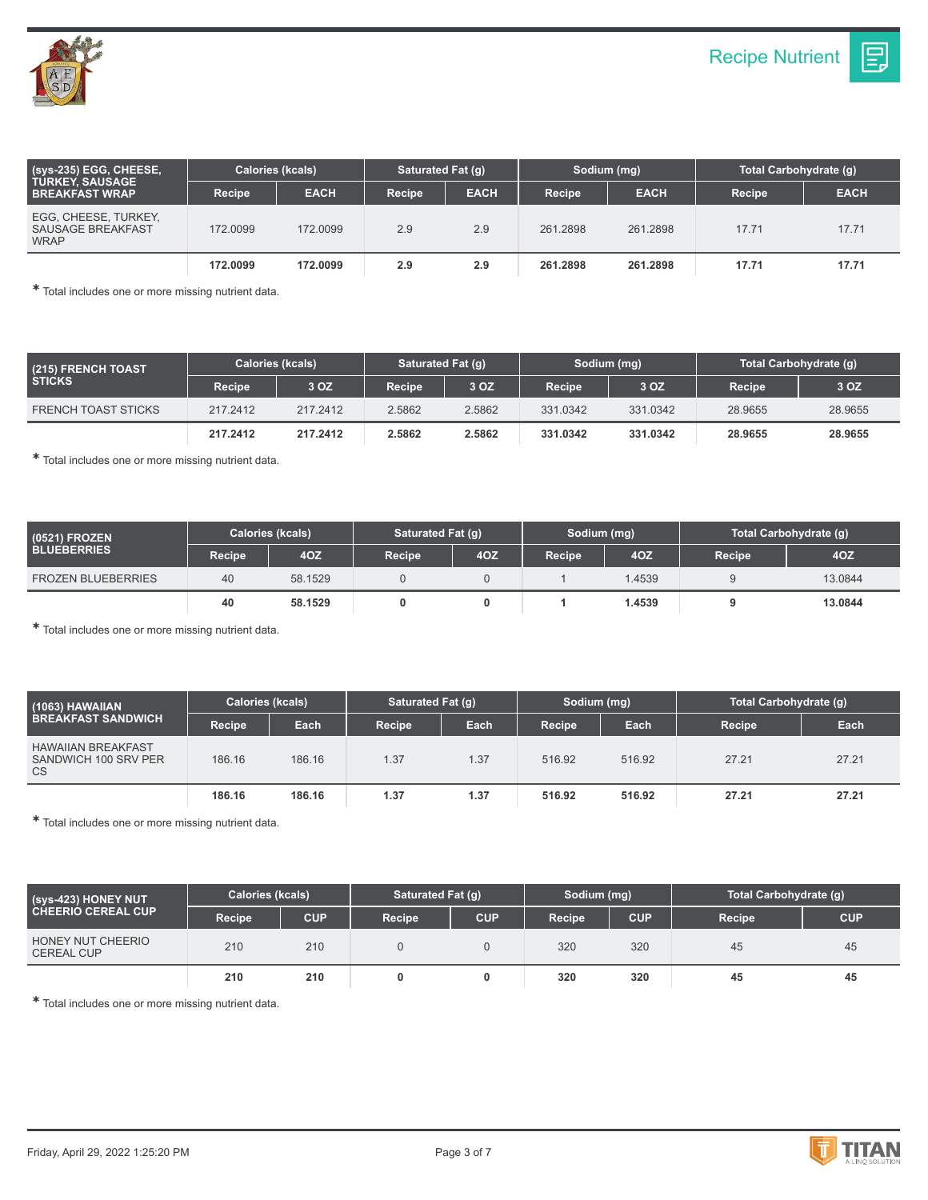

| $(sys-235)$ EGG, CHEESE,<br><b>TURKEY, SAUSAGE</b><br><b>BREAKFAST WRAP</b> | Calories (kcals) |             | Saturated Fat (q) |             | Sodium (mg)   |             | Total Carbohydrate (g) |             |
|-----------------------------------------------------------------------------|------------------|-------------|-------------------|-------------|---------------|-------------|------------------------|-------------|
|                                                                             | Recipe           | <b>EACH</b> | <b>Recipe</b>     | <b>EACH</b> | <b>Recipe</b> | <b>EACH</b> | <b>Recipe</b>          | <b>EACH</b> |
| EGG, CHEESE, TURKEY,<br><b>SAUSAGE BREAKFAST</b><br><b>WRAP</b>             | 172,0099         | 172,0099    | 2.9               | 2.9         | 261.2898      | 261.2898    | 17.71                  | 17.71       |
|                                                                             | 172.0099         | 172.0099    | 2.9               | 2.9         | 261.2898      | 261.2898    | 17.71                  | 17.71       |

✱ Total includes one or more missing nutrient data.

| (215) FRENCH TOAST\<br><b>STICKS</b> | Calories (kcals) |          | Saturated Fat (q) |        | Sodium (mg) |          | Total Carbohydrate (g) |         |
|--------------------------------------|------------------|----------|-------------------|--------|-------------|----------|------------------------|---------|
|                                      | Recipe           | 3 OZ     | Recipe            | 3 OZ   | Recipe      | 3 OZ     | Recipe                 | 3 OZ    |
| <b>FRENCH TOAST STICKS</b>           | 217.2412         | 217,2412 | 2.5862            | 2.5862 | 331.0342    | 331.0342 | 28.9655                | 28.9655 |
|                                      | 217.2412         | 217.2412 | 2.5862            | 2.5862 | 331.0342    | 331.0342 | 28,9655                | 28,9655 |

✱ Total includes one or more missing nutrient data.

| (0521) FROZEN<br><b>BLUEBERRIES</b> | <b>Calories (kcals)</b> |         | <b>Saturated Fat (g)</b> |     | Sodium (mg)   |        | Total Carbohydrate (q) |         |
|-------------------------------------|-------------------------|---------|--------------------------|-----|---------------|--------|------------------------|---------|
|                                     | <b>Recipe</b>           | 4OZ     | Recipe                   | 40Z | <b>Recipe</b> | 4OZ    | <b>Recipe</b>          | 40Z     |
| <b>FROZEN BLUEBERRIES</b>           | 40                      | 58.1529 |                          |     |               | 1.4539 |                        | 13.0844 |
|                                     | 40                      | 58.1529 |                          |     |               | 1.4539 |                        | 13.0844 |

✱ Total includes one or more missing nutrient data.

| (1063) HAWAIIAN<br><b>BREAKFAST SANDWICH</b>                   | Calories (kcals) |        | Saturated Fat (g) |      | Sodium (mg) |        | Total Carbohydrate (g) |       |
|----------------------------------------------------------------|------------------|--------|-------------------|------|-------------|--------|------------------------|-------|
|                                                                | <b>Recipe</b>    | Each   | <b>Recipe</b>     | Each | Recipe      | Each   | Recipe                 | Each  |
| <b>HAWAIIAN BREAKFAST</b><br>SANDWICH 100 SRV PER<br><b>CS</b> | 186.16           | 186.16 | 1.37              | 1.37 | 516.92      | 516.92 | 27.21                  | 27.21 |
|                                                                | 186.16           | 186.16 | 1.37              | 1.37 | 516.92      | 516.92 | 27.21                  | 27.21 |

✱ Total includes one or more missing nutrient data.

| (Sys-423) HONEY NUT                    | <b>Calories (kcals)</b> |            | Saturated Fat (g) |            | Sodium (mg)   |            | Total Carbohydrate (g) |            |
|----------------------------------------|-------------------------|------------|-------------------|------------|---------------|------------|------------------------|------------|
| <b>CHEERIO CEREAL CUP</b>              | Recipe                  | <b>CUP</b> | Recipe            | <b>CUP</b> | <b>Recipe</b> | <b>CUP</b> | Recipe                 | <b>CUP</b> |
| HONEY NUT CHEERIO<br><b>CEREAL CUP</b> | 210                     | 210        |                   |            | 320           | 320        | 45                     | 45         |
|                                        | 210                     | 210        |                   |            | 320           | 320        | 45                     | 45         |

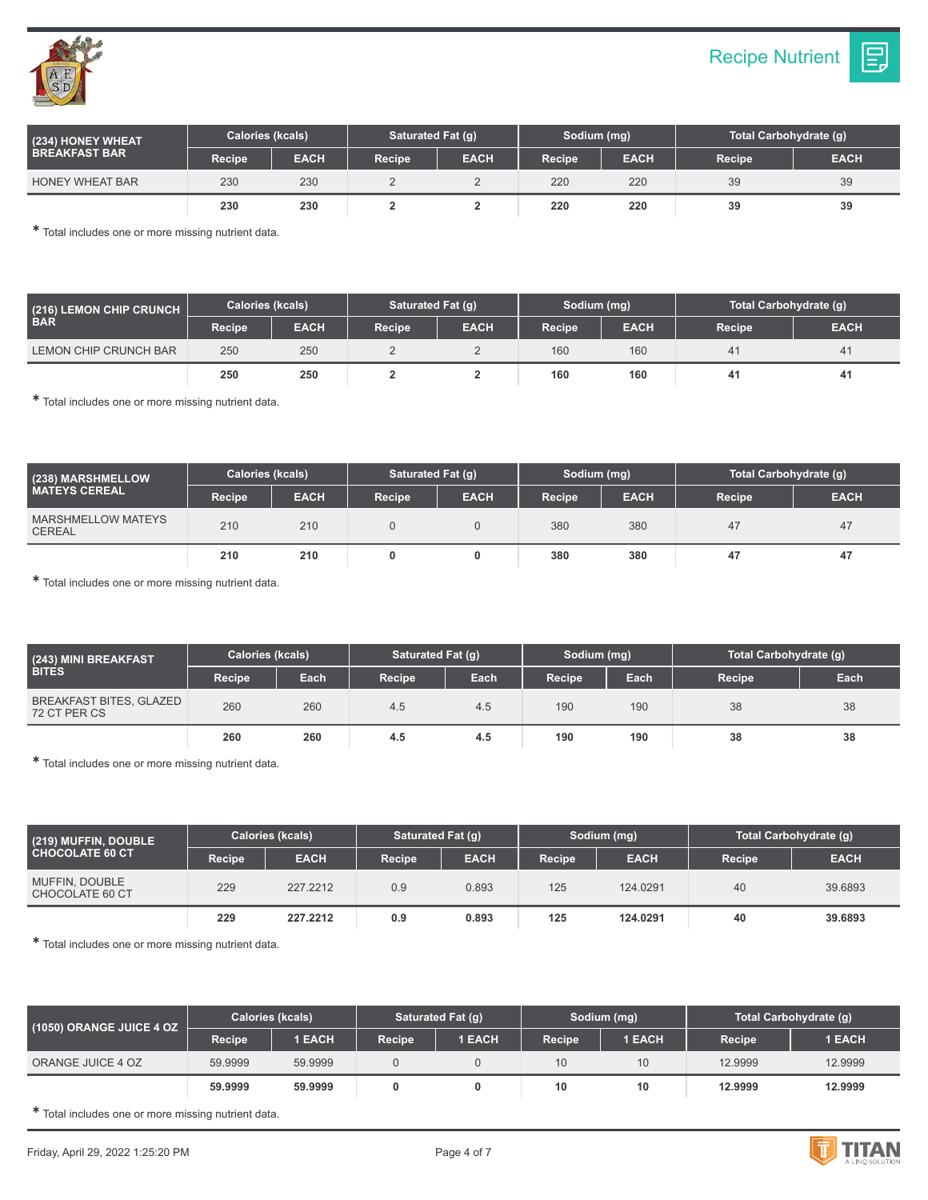

**(234) HONEY WHEAT BREAKFAST BAR**

HONEY WHEAT BAR

| Calories (kcals) |             | <b>Saturated Fat (g)</b> |             | Sodium (mg) |             | Total Carbohydrate (g) |             |
|------------------|-------------|--------------------------|-------------|-------------|-------------|------------------------|-------------|
| Recipe           | <b>EACH</b> | Recipe                   | <b>EACH</b> | Recipe      | <b>EACH</b> | Recipe                 | <b>EACH</b> |
| 230              | 230         |                          |             | 220         | 220         | 39                     | 39          |

**230 230 2 2 220 220 39 39**

✱ Total includes one or more missing nutrient data.

| (216) LEMON CHIP CRUNCH<br><b>BAR</b> | <b>Calories (kcals)</b> |             | <b>Saturated Fat (g)</b> |             | Sodium (mg)   |             | Total Carbohydrate (q) |             |
|---------------------------------------|-------------------------|-------------|--------------------------|-------------|---------------|-------------|------------------------|-------------|
|                                       | Recipe                  | <b>EACH</b> | Recipe                   | <b>EACH</b> | <b>Recipe</b> | <b>EACH</b> | Recipe                 | <b>EACH</b> |
| LEMON CHIP CRUNCH BAR                 | 250                     | 250         |                          |             | 160           | 160         | 4 <sup>1</sup>         | 41          |
|                                       | 250                     | 250         |                          |             | 160           | 160         | 41                     | 41          |

✱ Total includes one or more missing nutrient data.

| (238) MARSHMELLOW<br><b>MATEYS CEREAL</b> | <b>Calories (kcals)</b> |             | Saturated Fat (q) |             | Sodium (mg) |             | Total Carbohydrate (g) |             |
|-------------------------------------------|-------------------------|-------------|-------------------|-------------|-------------|-------------|------------------------|-------------|
|                                           | Recipe                  | <b>EACH</b> | <b>Recipe</b>     | <b>EACH</b> | Recipe      | <b>EACH</b> | Recipe                 | <b>EACH</b> |
| MARSHMELLOW MATEYS<br><b>CEREAL</b>       | 210                     | 210         |                   |             | 380         | 380         | 47                     | 47          |
|                                           | 210                     | 210         |                   |             | 380         | 380         | 47                     | 47          |

✱ Total includes one or more missing nutrient data.

| (243) MINI BREAKFAST<br><b>BITES</b>           | Calories (kcals) |      | Saturated Fat (q) |      | Sodium (mg) |      | Total Carbohydrate (g) |      |
|------------------------------------------------|------------------|------|-------------------|------|-------------|------|------------------------|------|
|                                                | Recipe           | Each | Recipe            | Each | Recipe      | Each | Recipe                 | Each |
| <b>BREAKFAST BITES, GLAZED</b><br>72 CT PER CS | 260              | 260  | 4.5               | 4.5  | 190         | 190  | 38                     | 38   |
|                                                | 260              | 260  | 4.5               | 4.5  | 190         | 190  | 38                     | 38   |

✱ Total includes one or more missing nutrient data.

| (219) MUFFIN, DOUBLE<br><b>CHOCOLATE 60 CT</b> | <b>Calories (kcals)</b> |             | Saturated Fat (g) |             | Sodium (mg)   |             | Total Carbohydrate (q) |             |
|------------------------------------------------|-------------------------|-------------|-------------------|-------------|---------------|-------------|------------------------|-------------|
|                                                | Recipe                  | <b>EACH</b> | Recipe            | <b>EACH</b> | <b>Recipe</b> | <b>EACH</b> | <b>Recipe</b>          | <b>EACH</b> |
| MUFFIN, DOUBLE<br>CHOCOLATE 60 CT              | 229                     | 227.2212    | 0.9               | 0.893       | 125           | 124.0291    | 40                     | 39.6893     |
|                                                | 229                     | 227.2212    | 0.9               | 0.893       | 125           | 124.0291    | 40                     | 39,6893     |

✱ Total includes one or more missing nutrient data.

| (1050) ORANGE JUICE 4 OZ | <b>Calories (kcals)</b> |               | <b>Saturated Fat (g)</b> |               | Sodium (mg)         |               | Total Carbohydrate (q) |               |
|--------------------------|-------------------------|---------------|--------------------------|---------------|---------------------|---------------|------------------------|---------------|
|                          | Recipe                  | <b>1 EACH</b> | Recipe                   | <b>1 EACH</b> | Recipe <sup>1</sup> | <b>1 EACH</b> | <b>Recipe</b>          | <b>1 EACH</b> |
| ORANGE JUICE 4 OZ        | 59.9999                 | 59.9999       |                          |               | 10                  | 10            | 12.9999                | 12.9999       |
|                          | 59.9999                 | 59.9999       |                          |               | 10                  | 10            | 12.9999                | 12.9999       |

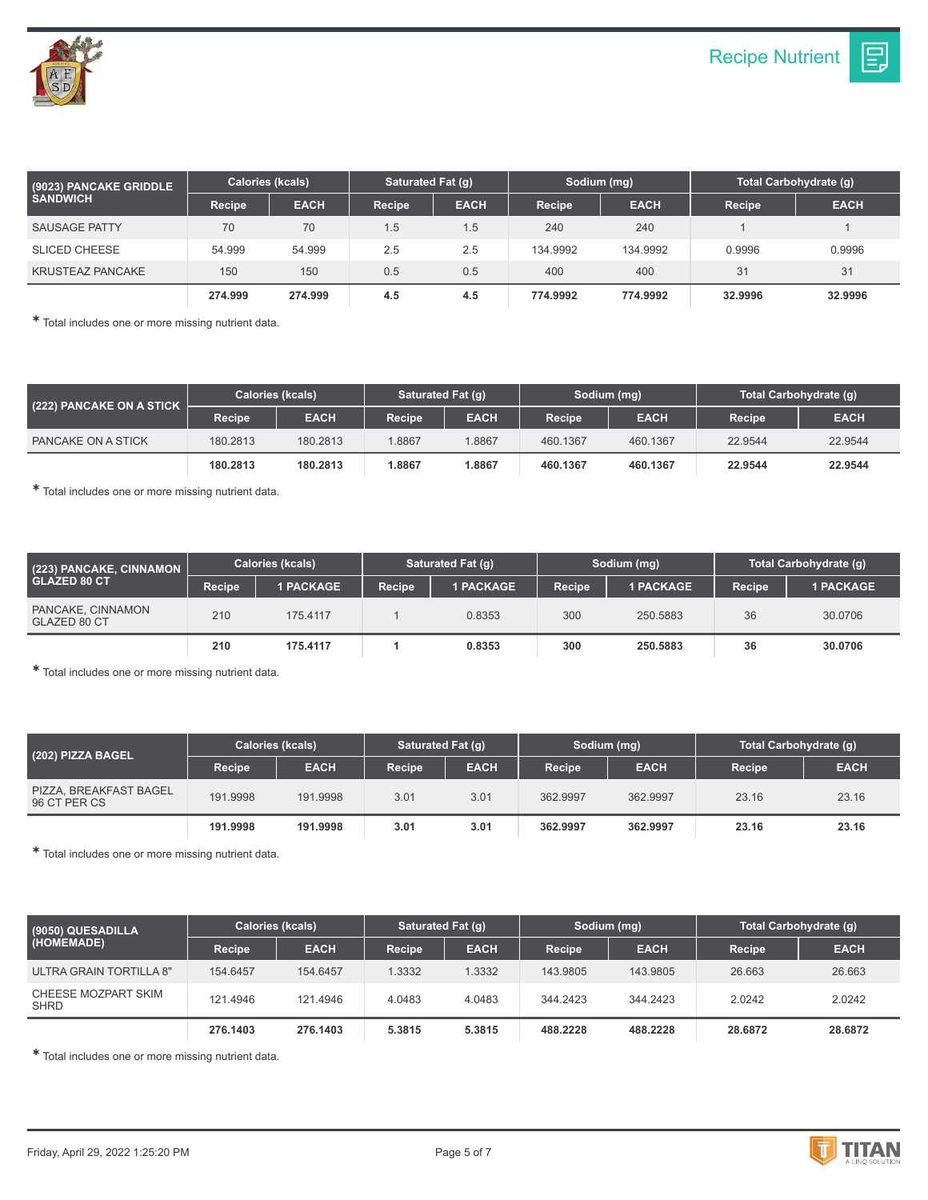Ε.



| (9023) PANCAKE GRIDDLE<br><b>SANDWICH</b> | <b>Calories (kcals)</b> |             | Saturated Fat (g) |             | Sodium (mg) |             | Total Carbohydrate (g) |             |
|-------------------------------------------|-------------------------|-------------|-------------------|-------------|-------------|-------------|------------------------|-------------|
|                                           | Recipe                  | <b>EACH</b> | <b>Recipe</b>     | <b>EACH</b> | Recipe      | <b>EACH</b> | Recipe                 | <b>EACH</b> |
| <b>SAUSAGE PATTY</b>                      | 70                      | 70          | 1.5               | 1.5         | 240         | 240         |                        |             |
| <b>SLICED CHEESE</b>                      | 54.999                  | 54.999      | 2.5               | 2.5         | 134.9992    | 134.9992    | 0.9996                 | 0.9996      |
| <b>KRUSTEAZ PANCAKE</b>                   | 150                     | 150         | 0.5               | 0.5         | 400         | 400         | 31                     | 31          |
|                                           | 274.999                 | 274.999     | 4.5               | 4.5         | 774.9992    | 774.9992    | 32,9996                | 32.9996     |

✱ Total includes one or more missing nutrient data.

| (222) PANCAKE ON A STICK | <b>Calories (kcals)</b> |             | Saturated Fat (q) |             | Sodium (mg)   |             | Total Carbohydrate (g) |             |
|--------------------------|-------------------------|-------------|-------------------|-------------|---------------|-------------|------------------------|-------------|
|                          | Recipe                  | <b>EACH</b> | Recipe            | <b>EACH</b> | <b>Recipe</b> | <b>EACH</b> | Recipe                 | <b>EACH</b> |
| PANCAKE ON A STICK       | 180.2813                | 180.2813    | 1.8867            | 1.8867      | 460.1367      | 460.1367    | 22.9544                | 22.9544     |
|                          | 180.2813                | 180,2813    | 1.8867            | 1.8867      | 460.1367      | 460.1367    | 22.9544                | 22.9544     |

✱ Total includes one or more missing nutrient data.

| (223) PANCAKE, CINNAMON<br><b>GLAZED 80 CT</b> | Calories (kcals) |                  | Saturated Fat (q) |                  | Sodium (mg)         |                  | Total Carbohydrate (q) |                  |
|------------------------------------------------|------------------|------------------|-------------------|------------------|---------------------|------------------|------------------------|------------------|
|                                                | <b>Recipe</b>    | <b>1 PACKAGE</b> | Recipe            | <b>1 PACKAGE</b> | Recipe <sup>1</sup> | <b>1 PACKAGE</b> | Recipe                 | <b>1 PACKAGE</b> |
| PANCAKE, CINNAMON<br>GLAZED 80 CT              | 210              | 175.4117         |                   | 0.8353           | 300                 | 250.5883         | 36                     | 30,0706          |
|                                                | 210              | 175.4117         |                   | 0.8353           | 300                 | 250,5883         | 36                     | 30,0706          |

✱ Total includes one or more missing nutrient data.

| (202) PIZZA BAGEL                      | <b>Calories (kcals)</b> |             | Saturated Fat (q) |             | Sodium (mg)   |             | Total Carbohydrate (g) |             |
|----------------------------------------|-------------------------|-------------|-------------------|-------------|---------------|-------------|------------------------|-------------|
|                                        | Recipe                  | <b>EACH</b> | <b>Recipe</b>     | <b>EACH</b> | <b>Recipe</b> | <b>EACH</b> | Recipe                 | <b>EACH</b> |
| PIZZA, BREAKFAST BAGEL<br>96 CT PER CS | 191.9998                | 191.9998    | 3.01              | 3.01        | 362.9997      | 362.9997    | 23.16                  | 23.16       |
|                                        | 191.9998                | 191.9998    | 3.01              | 3.01        | 362.9997      | 362.9997    | 23.16                  | 23.16       |

✱ Total includes one or more missing nutrient data.

| (9050) QUESADILLA<br>(HOMEMADE) | <b>Calories (kcals)</b> |             | Saturated Fat (q) |             | Sodium (mg) |             | Total Carbohydrate (g) |             |
|---------------------------------|-------------------------|-------------|-------------------|-------------|-------------|-------------|------------------------|-------------|
|                                 | Recipe                  | <b>EACH</b> | <b>Recipe</b>     | <b>EACH</b> | Recipe      | <b>EACH</b> | Recipe                 | <b>EACH</b> |
| ULTRA GRAIN TORTILLA 8"         | 154,6457                | 154,6457    | 1.3332            | 1.3332      | 143.9805    | 143.9805    | 26.663                 | 26.663      |
| CHEESE MOZPART SKIM<br>SHRD     | 121.4946                | 121.4946    | 4.0483            | 4.0483      | 344.2423    | 344.2423    | 2.0242                 | 2.0242      |
|                                 | 276,1403                | 276.1403    | 5.3815            | 5.3815      | 488.2228    | 488,2228    | 28.6872                | 28.6872     |

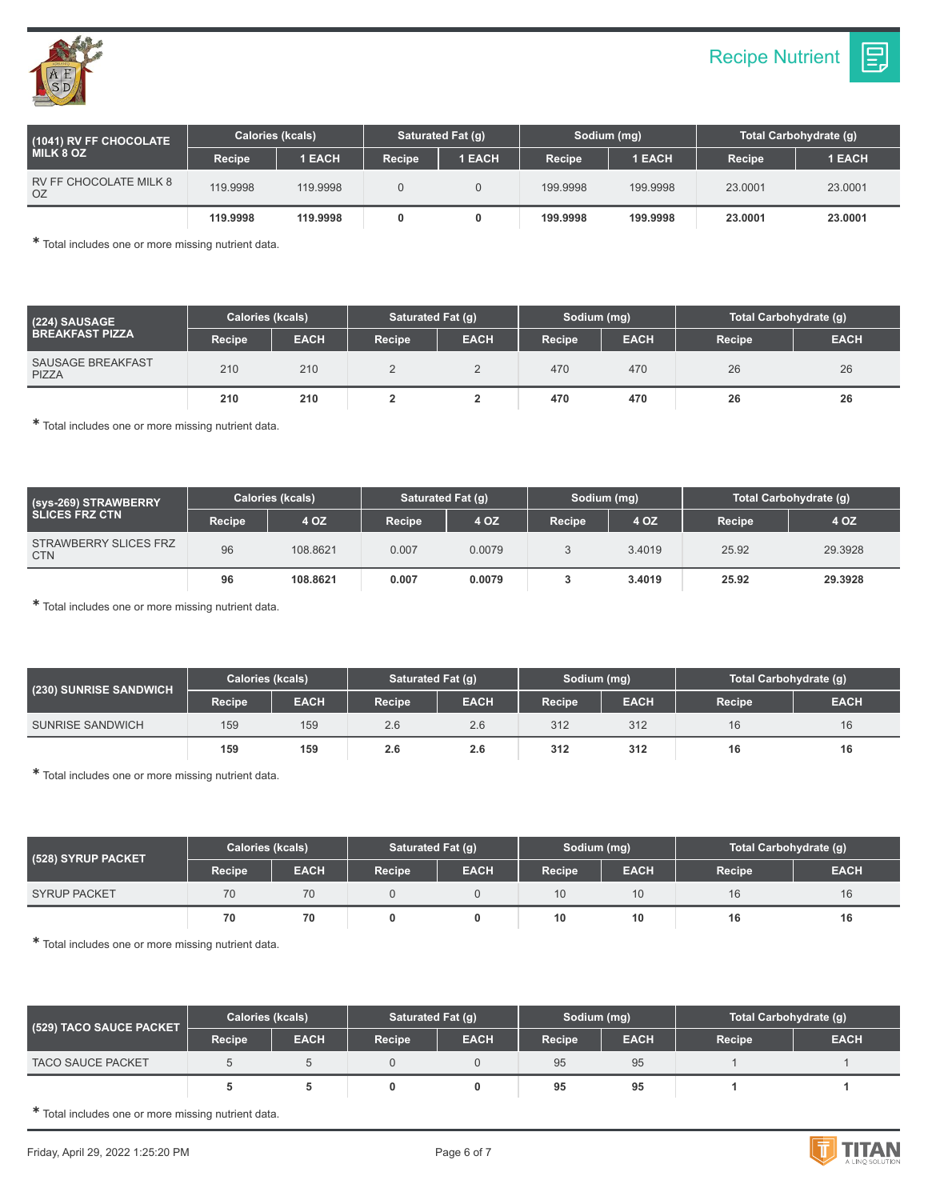



| (1041) RV FF CHOCOLATE<br><b>MILK 8 OZ</b> | <b>Calories (kcals)</b> |          | Saturated Fat (q) |               | Sodium (mg)   |          | Total Carbohydrate (q) |               |
|--------------------------------------------|-------------------------|----------|-------------------|---------------|---------------|----------|------------------------|---------------|
|                                            | Recipe                  | 1 EACH   | <b>Recipe</b>     | <b>1 EACH</b> | <b>Recipe</b> | 1 EACH   | Recipe                 | <b>1 EACH</b> |
| <b>RV FF CHOCOLATE MILK 8</b><br>OZ        | 119.9998                | 119.9998 |                   |               | 199.9998      | 199.9998 | 23.0001                | 23.0001       |
|                                            | 119,9998                | 119,9998 | 0                 |               | 199,9998      | 199,9998 | 23,0001                | 23.0001       |

✱ Total includes one or more missing nutrient data.

| (224) SAUSAGE<br><b>BREAKFAST PIZZA</b> | <b>Calories (kcals)</b> |             | Saturated Fat (q) |             | Sodium (mg)   |             | Total Carbohydrate (q) |             |
|-----------------------------------------|-------------------------|-------------|-------------------|-------------|---------------|-------------|------------------------|-------------|
|                                         | Recipe                  | <b>EACH</b> | Recipe            | <b>EACH</b> | <b>Recipe</b> | <b>EACH</b> | <b>Recipe</b>          | <b>EACH</b> |
| <b>SAUSAGE BREAKFAST</b><br>PIZZA       | 210                     | 210         |                   |             | 470           | 470         | 26                     | 26          |
|                                         | 210                     | 210         |                   |             | 470           | 470         | 26                     | 26          |

✱ Total includes one or more missing nutrient data.

| (Sys-269) STRAWBERRY<br><b>SLICES FRZ CTN</b> | Calories (kcals) |          | Saturated Fat (q) |        | Sodium (mg)   |        | Total Carbohydrate (q) |         |
|-----------------------------------------------|------------------|----------|-------------------|--------|---------------|--------|------------------------|---------|
|                                               | <b>Recipe</b>    | 4 OZ     | <b>Recipe</b>     | 4 OZ   | <b>Recipe</b> | 4 OZ   | <b>Recipe</b>          | 4 OZ    |
| STRAWBERRY SLICES FRZ<br><b>CTN</b>           | 96               | 108.8621 | 0.007             | 0.0079 |               | 3.4019 | 25.92                  | 29.3928 |
|                                               | 96               | 108.8621 | 0.007             | 0.0079 |               | 3.4019 | 25.92                  | 29.3928 |

✱ Total includes one or more missing nutrient data.

| (230) SUNRISE SANDWICH  | <b>Calories (kcals)</b> |             | Saturated Fat (q) |             | Sodium (mg) |             | Total Carbohydrate (g) |             |
|-------------------------|-------------------------|-------------|-------------------|-------------|-------------|-------------|------------------------|-------------|
|                         | Recipe                  | <b>EACH</b> | Recipe            | <b>EACH</b> | Recipe      | <b>EACH</b> | <b>Recipe</b>          | <b>EACH</b> |
| <b>SUNRISE SANDWICH</b> | 159                     | 159         | 2.6               | 2.6         | 312         | 312         | 16                     | 16          |
|                         | 159                     | 159         | 2.6               | 2.6         | 312         | 312         | 16                     | 16          |

✱ Total includes one or more missing nutrient data.

| (528) SYRUP PACKET  | <b>Calories (kcals)</b> |             | Saturated Fat (g) |             | Sodium (mg)   |             | Total Carbohydrate (g) |             |
|---------------------|-------------------------|-------------|-------------------|-------------|---------------|-------------|------------------------|-------------|
|                     | Recipe                  | <b>EACH</b> | Recipe            | <b>EACH</b> | <b>Recipe</b> | <b>EACH</b> | <b>Recipe</b>          | <b>EACH</b> |
| <b>SYRUP PACKET</b> | 70                      | 70          |                   |             | 10            | 10          | 16                     | 16          |
|                     | 70                      | 70          |                   |             | 10            | 10          | 16                     | 16          |

✱ Total includes one or more missing nutrient data.

| (529) TACO SAUCE PACKET  | <b>Calories (kcals)</b> |             | Saturated Fat (g) |             | Sodium (mg) |             | Total Carbohydrate (g) |             |
|--------------------------|-------------------------|-------------|-------------------|-------------|-------------|-------------|------------------------|-------------|
|                          | Recipe                  | <b>EACH</b> | Recipe            | <b>EACH</b> | Recipe      | <b>EACH</b> | <b>Recipe</b>          | <b>EACH</b> |
| <b>TACO SAUCE PACKET</b> |                         |             |                   |             | 95          | 95          |                        |             |
|                          |                         |             |                   |             | 95          | 95          |                        |             |